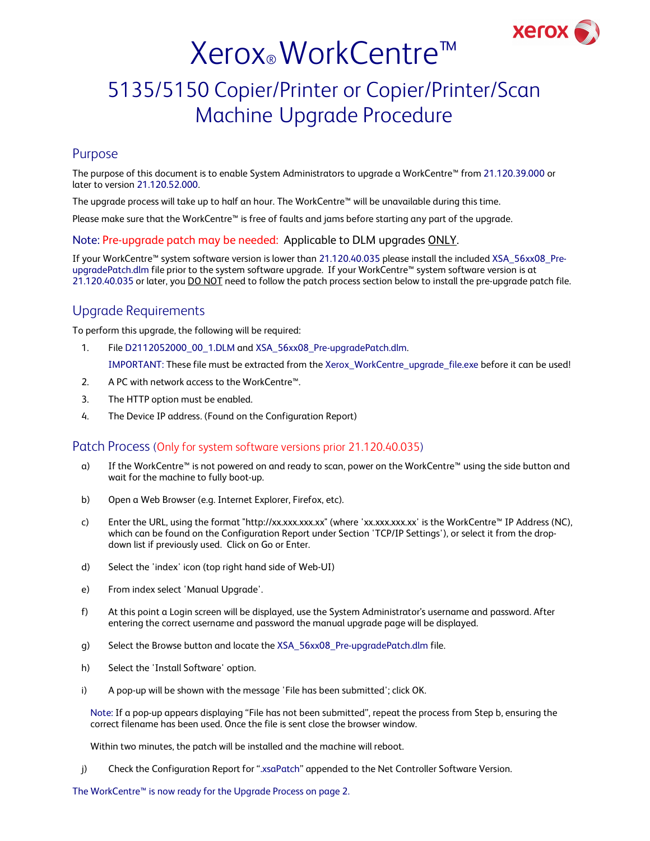

# Xerox® WorkCentre™

# 5135/5150 Copier/Printer or Copier/Printer/Scan Machine Upgrade Procedure

#### Purpose

The purpose of this document is to enable System Administrators to upgrade a WorkCentre™ from 21.120.39.000 or later to version 21.120.52.000.

The upgrade process will take up to half an hour. The WorkCentre™ will be unavailable during this time.

Please make sure that the WorkCentre™ is free of faults and jams before starting any part of the upgrade.

#### Note: Pre-upgrade patch may be needed: Applicable to DLM upgrades ONLY.

If your WorkCentre™ system software version is lower than 21.120.40.035 please install the included XSA\_56xx08\_PreupgradePatch.dlm file prior to the system software upgrade. If your WorkCentre™ system software version is at 21.120.40.035 or later, you DO NOT need to follow the patch process section below to install the pre-upgrade patch file.

### Upgrade Requirements

To perform this upgrade, the following will be required:

- 1. File D2112052000\_00\_1.DLM and XSA\_56xx08\_Pre-upgradePatch.dlm. IMPORTANT: These file must be extracted from the Xerox\_WorkCentre\_upgrade\_file.exe before it can be used!
- 2. A PC with network access to the WorkCentre<sup>™</sup>.
- 3. The HTTP option must be enabled.
- 4. The Device IP address. (Found on the Configuration Report)

#### Patch Process (Only for system software versions prior 21.120.40.035)

- a) If the WorkCentre™ is not powered on and ready to scan, power on the WorkCentre™ using the side button and wait for the machine to fully boot-up.
- b) Open a Web Browser (e.g. Internet Explorer, Firefox, etc).
- c) Enter the URL, using the format "http://xx.xxx.xxx.xx" (where 'xx.xxx.xxx.xx' is the WorkCentre™ IP Address (NC), which can be found on the Configuration Report under Section 'TCP/IP Settings'), or select it from the dropdown list if previously used. Click on Go or Enter.
- d) Select the 'index' icon (top right hand side of Web-UI)
- e) From index select 'Manual Upgrade'.
- f) At this point a Login screen will be displayed, use the System Administrator's username and password. After entering the correct username and password the manual upgrade page will be displayed.
- g) Select the Browse button and locate the XSA\_56xx08\_Pre-upgradePatch.dlm file.
- h) Select the 'Install Software' option.
- i) A pop-up will be shown with the message 'File has been submitted'; click OK.

Note: If a pop-up appears displaying "File has not been submitted", repeat the process from Step b, ensuring the correct filename has been used. Once the file is sent close the browser window.

Within two minutes, the patch will be installed and the machine will reboot.

j) Check the Configuration Report for ".xsaPatch" appended to the Net Controller Software Version.

The WorkCentre™ is now ready for the Upgrade Process on page 2.